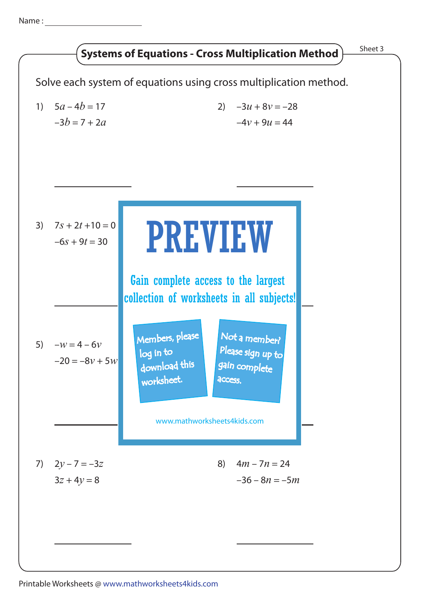